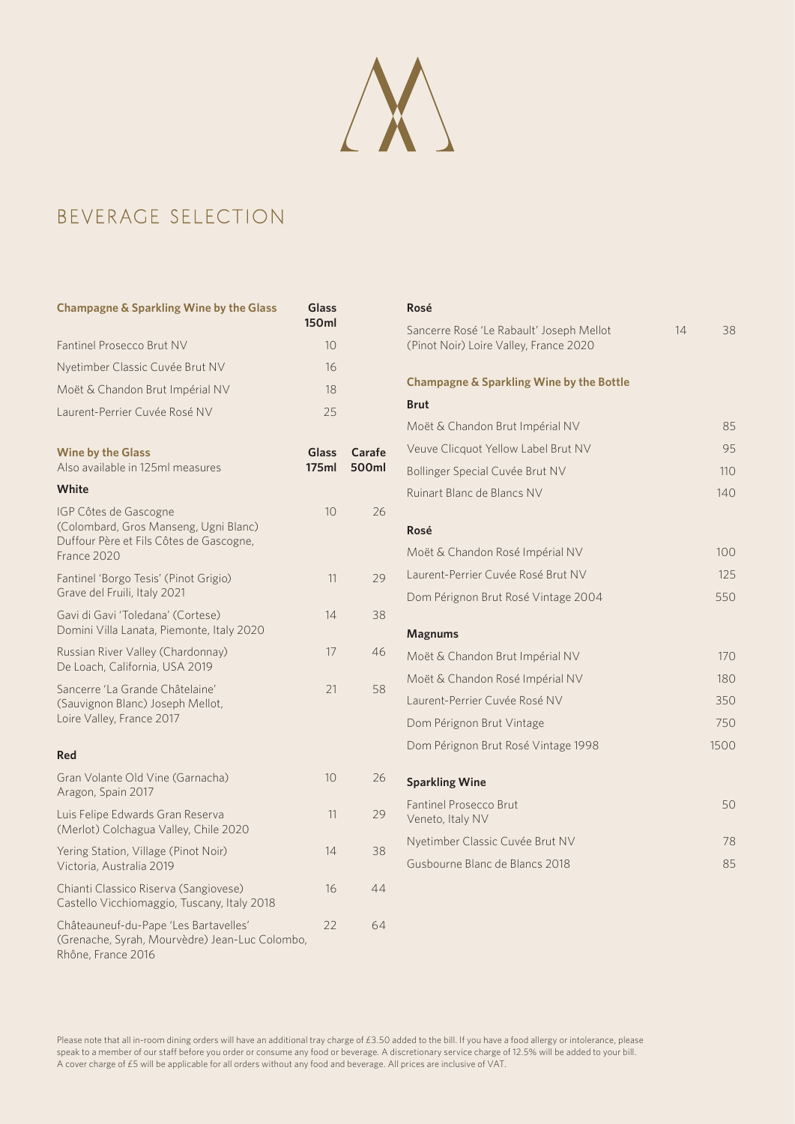

## Beverage Selection

| <b>Champagne &amp; Sparkling Wine by the Glass</b>                                                                       | Glass<br><b>150ml</b> |                 |
|--------------------------------------------------------------------------------------------------------------------------|-----------------------|-----------------|
| Fantinel Prosecco Brut NV                                                                                                | 10                    |                 |
| Nyetimber Classic Cuvée Brut NV                                                                                          | 16                    |                 |
| Moët & Chandon Brut Impérial NV                                                                                          | 18                    |                 |
| Laurent-Perrier Cuvée Rosé NV                                                                                            | 25                    |                 |
| <b>Wine by the Glass</b><br>Also available in 125ml measures                                                             | Glass<br>175ml        | Carafe<br>500ml |
| White                                                                                                                    |                       |                 |
| IGP Côtes de Gascogne<br>(Colombard, Gros Manseng, Ugni Blanc)<br>Duffour Père et Fils Côtes de Gascogne,<br>France 2020 | 10                    | 26              |
| Fantinel 'Borgo Tesis' (Pinot Grigio)<br>Grave del Fruili, Italy 2021                                                    | 11                    | 29              |
| Gavi di Gavi 'Toledana' (Cortese)<br>Domini Villa Lanata, Piemonte, Italy 2020                                           | 14                    | 38              |
| Russian River Valley (Chardonnay)<br>De Loach, California, USA 2019                                                      | 17                    | 46              |
| Sancerre 'La Grande Châtelaine'<br>(Sauvignon Blanc) Joseph Mellot,<br>Loire Valley, France 2017                         | 21                    | 58              |
| <b>Red</b>                                                                                                               |                       |                 |
| Gran Volante Old Vine (Garnacha)<br>Aragon, Spain 2017                                                                   | 10                    | 26              |
| Luis Felipe Edwards Gran Reserva<br>(Merlot) Colchagua Valley, Chile 2020                                                | 11                    | 29              |
| Yering Station, Village (Pinot Noir)<br>Victoria, Australia 2019                                                         | 14                    | 38              |
| Chianti Classico Riserva (Sangiovese)<br>Castello Vicchiomaggio, Tuscany, Italy 2018                                     | 16                    | 44              |
| Châteauneuf-du-Pape 'Les Bartavelles'<br>(Grenache, Syrah, Mourvèdre) Jean-Luc Colombo,<br>Rhône, France 2016            | 22                    | 64              |

| Rosé                                                                               |    |      |
|------------------------------------------------------------------------------------|----|------|
| Sancerre Rosé 'Le Rabault' Joseph Mellot<br>(Pinot Noir) Loire Valley, France 2020 | 14 | 38   |
| <b>Champagne &amp; Sparkling Wine by the Bottle</b>                                |    |      |
| <b>Brut</b>                                                                        |    |      |
| Moët & Chandon Brut Impérial NV                                                    |    | 85   |
| Veuve Clicquot Yellow Label Brut NV                                                |    | 95   |
| Bollinger Special Cuvée Brut NV                                                    |    | 110  |
| Ruinart Blanc de Blancs NV                                                         |    | 140  |
| Rosé                                                                               |    |      |
| Moët & Chandon Rosé Impérial NV                                                    |    | 100  |
| Laurent-Perrier Cuvée Rosé Brut NV                                                 |    | 125  |
| Dom Pérignon Brut Rosé Vintage 2004                                                |    | 550  |
|                                                                                    |    |      |
| <b>Magnums</b>                                                                     |    |      |
| Moët & Chandon Brut Impérial NV                                                    |    | 170  |
| Moët & Chandon Rosé Impérial NV                                                    |    | 180  |
| Laurent-Perrier Cuvée Rosé NV                                                      |    | 350  |
| Dom Pérignon Brut Vintage                                                          |    | 750  |
| Dom Pérignon Brut Rosé Vintage 1998                                                |    | 1500 |
|                                                                                    |    |      |
| <b>Sparkling Wine</b>                                                              |    |      |
| <b>Fantinel Prosecco Brut</b><br>Veneto, Italy NV                                  |    | 50   |
| Nyetimber Classic Cuvée Brut NV                                                    |    | 78   |
| Gusbourne Blanc de Blancs 2018                                                     |    | 85   |
|                                                                                    |    |      |

Please note that all in-room dining orders will have an additional tray charge of £3.50 added to the bill. If you have a food allergy or intolerance, please speak to a member of our staff before you order or consume any food or beverage. A discretionary service charge of 12.5% will be added to your bill. A cover charge of £5 will be applicable for all orders without any food and beverage. All prices are inclusive of VAT.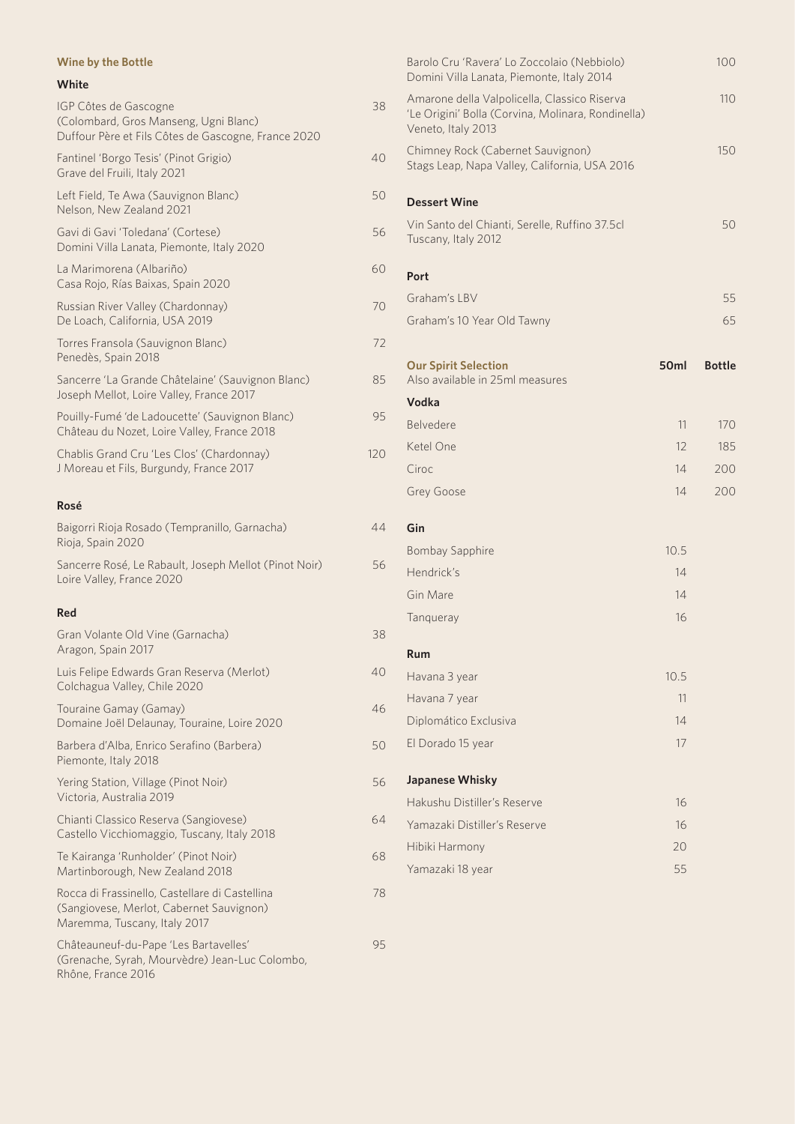| <b>Wine by the Bottle</b>                                                                                                  |     |
|----------------------------------------------------------------------------------------------------------------------------|-----|
| White                                                                                                                      |     |
| IGP Côtes de Gascogne<br>(Colombard, Gros Manseng, Ugni Blanc)<br>Duffour Père et Fils Côtes de Gascogne, France 2020      | 38  |
| Fantinel 'Borgo Tesis' (Pinot Grigio)<br>Grave del Fruili, Italy 2021                                                      | 40  |
| Left Field, Te Awa (Sauvignon Blanc)<br>Nelson, New Zealand 2021                                                           | 50  |
| Gavi di Gavi 'Toledana' (Cortese)<br>Domini Villa Lanata, Piemonte, Italy 2020                                             | 56  |
| La Marimorena (Albariño)<br>Casa Rojo, Rías Baixas, Spain 2020                                                             | 60  |
| Russian River Valley (Chardonnay)<br>De Loach, California, USA 2019                                                        | 70  |
| Torres Fransola (Sauvignon Blanc)<br>Penedès, Spain 2018                                                                   | 72  |
| Sancerre 'La Grande Châtelaine' (Sauvignon Blanc)<br>Joseph Mellot, Loire Valley, France 2017                              | 85  |
| Pouilly-Fumé 'de Ladoucette' (Sauvignon Blanc)<br>Château du Nozet, Loire Valley, France 2018                              | 95  |
| Chablis Grand Cru 'Les Clos' (Chardonnay)<br>J Moreau et Fils, Burgundy, France 2017                                       | 120 |
| Rosé                                                                                                                       |     |
| Baigorri Rioja Rosado (Tempranillo, Garnacha)<br>Rioja, Spain 2020                                                         | 44  |
| Sancerre Rosé, Le Rabault, Joseph Mellot (Pinot Noir)<br>Loire Valley, France 2020                                         | 56  |
| Red                                                                                                                        |     |
| Gran Volante Old Vine (Garnacha)<br>Aragon, Spain 2017                                                                     | 38  |
| Luis Felipe Edwards Gran Reserva (Merlot)<br>Colchagua Valley, Chile 2020                                                  | 40  |
| Touraine Gamay (Gamay)<br>Domaine Joël Delaunay, Touraine, Loire 2020                                                      | 46  |
| Barbera d'Alba, Enrico Serafino (Barbera)<br>Piemonte, Italy 2018                                                          | 50  |
| Yering Station, Village (Pinot Noir)<br>Victoria, Australia 2019                                                           | 56  |
| Chianti Classico Reserva (Sangiovese)<br>Castello Vicchiomaggio, Tuscany, Italy 2018                                       | 64  |
| Te Kairanga 'Runholder' (Pinot Noir)<br>Martinborough, New Zealand 2018                                                    | 68  |
| Rocca di Frassinello, Castellare di Castellina<br>(Sangiovese, Merlot, Cabernet Sauvignon)<br>Maremma, Tuscany, Italy 2017 | 78  |
| Châteauneuf-du-Pape 'Les Bartavelles'<br>(Grenache, Syrah, Mourvèdre) Jean-Luc Colombo,<br>Rhône, France 2016              | 95  |

| Barolo Cru 'Ravera' Lo Zoccolaio (Nebbiolo)<br>Domini Villa Lanata, Piemonte, Italy 2014                                 |                  | 100           |
|--------------------------------------------------------------------------------------------------------------------------|------------------|---------------|
| Amarone della Valpolicella, Classico Riserva<br>'Le Origini' Bolla (Corvina, Molinara, Rondinella)<br>Veneto, Italy 2013 |                  | 110           |
| Chimney Rock (Cabernet Sauvignon)<br>Stags Leap, Napa Valley, California, USA 2016                                       |                  | 150           |
| <b>Dessert Wine</b>                                                                                                      |                  |               |
| Vin Santo del Chianti, Serelle, Ruffino 37.5cl<br>Tuscany, Italy 2012                                                    |                  | 50            |
| Port                                                                                                                     |                  |               |
| Graham's LBV                                                                                                             |                  | 55            |
| Graham's 10 Year Old Tawny                                                                                               |                  | 65            |
| <b>Our Spirit Selection</b><br>Also available in 25ml measures                                                           | 50 <sub>ml</sub> | <b>Bottle</b> |
| Vodka                                                                                                                    |                  |               |
| Belvedere                                                                                                                | 11               | 170           |
| Ketel One                                                                                                                | 12               | 185           |
| Ciroc                                                                                                                    | 14               | 200           |
| Grey Goose                                                                                                               | 14               | 200           |
| Gin                                                                                                                      |                  |               |
| <b>Bombay Sapphire</b>                                                                                                   | 10.5             |               |
| Hendrick's                                                                                                               | 14               |               |
| Gin Mare                                                                                                                 | 14               |               |
| Tanqueray                                                                                                                | 16               |               |
| Rum                                                                                                                      |                  |               |
| Havana 3 year                                                                                                            | 10.5             |               |
| Havana 7 year                                                                                                            | 11               |               |
| Diplomático Exclusiva                                                                                                    | 14               |               |
| El Dorado 15 year                                                                                                        | 17               |               |
| Japanese Whisky                                                                                                          |                  |               |
| Hakushu Distiller's Reserve                                                                                              | 16               |               |
| Yamazaki Distiller's Reserve                                                                                             | 16               |               |
| Hibiki Harmony                                                                                                           | 20               |               |
| Yamazaki 18 year                                                                                                         | 55               |               |
|                                                                                                                          |                  |               |